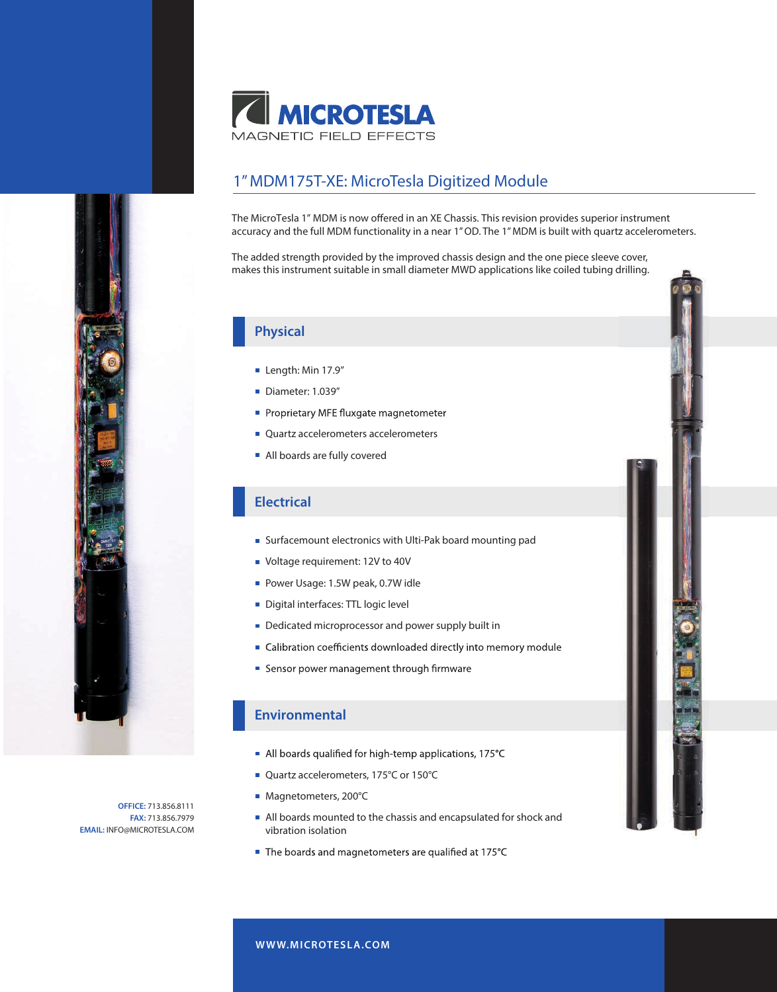

## 1" MDM175T-XE: MicroTesla Digitized Module

The MicroTesla 1" MDM is now offered in an XE Chassis. This revision provides superior instrument accuracy and the full MDM functionality in a near 1" OD. The 1" MDM is built with quartz accelerometers.

The added strength provided by the improved chassis design and the one piece sleeve cover, makes this instrument suitable in small diameter MWD applications like coiled tubing drilling.

### **Physical**

- Length: Min 17.9"
- Diameter: 1.039"
- Proprietary MFE fluxgate magnetometer
- Quartz accelerometers accelerometers
- All boards are fully covered

### **Electrical**

- Surfacemount electronics with Ulti-Pak board mounting pad
- **Voltage requirement: 12V to 40V**
- Power Usage: 1.5W peak, 0.7W idle
- Digital interfaces: TTL logic level
- Dedicated microprocessor and power supply built in
- Calibration coefficients downloaded directly into memory module
- Sensor power management through firmware

#### **Environmental**

- All boards qualified for high-temp applications, 175°C
- Quartz accelerometers, 175°C or 150°C
- Magnetometers, 200°C
- All boards mounted to the chassis and encapsulated for shock and vibration isolation
- The boards and magnetometers are qualified at 175°C

**OFFICE:** 713.856.8111 **FAX:** 713.856.7979 **EMAIL:** INFO@MICROTESLA.COM

#### **W WW.MICROTESLA.COM**